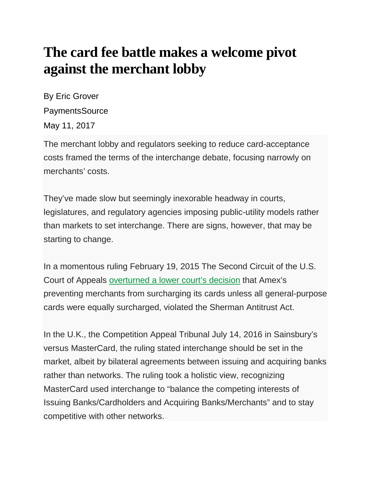## **The card fee battle makes a welcome pivot against the merchant lobby**

By Eric Grover PaymentsSource May 11, 2017

The merchant lobby and regulators seeking to reduce card-acceptance costs framed the terms of the interchange debate, focusing narrowly on merchants' costs.

They've made slow but seemingly inexorable headway in courts, legislatures, and regulatory agencies imposing public-utility models rather than markets to set interchange. There are signs, however, that may be starting to change.

In a momentous ruling February 19, 2015 The Second Circuit of the U.S. Court of Appeals [overturned a lower court's decision](http://law.justia.com/cases/federal/appellate-courts/ca2/15-1672/15-1672-2016-09-26.html) that Amex's preventing merchants from surcharging its cards unless all general-purpose cards were equally surcharged, violated the Sherman Antitrust Act.

In the U.K., the Competition Appeal Tribunal July 14, 2016 in Sainsbury's versus MasterCard, the ruling stated interchange should be set in the market, albeit by bilateral agreements between issuing and acquiring banks rather than networks. The ruling took a holistic view, recognizing MasterCard used interchange to "balance the competing interests of Issuing Banks/Cardholders and Acquiring Banks/Merchants" and to stay competitive with other networks.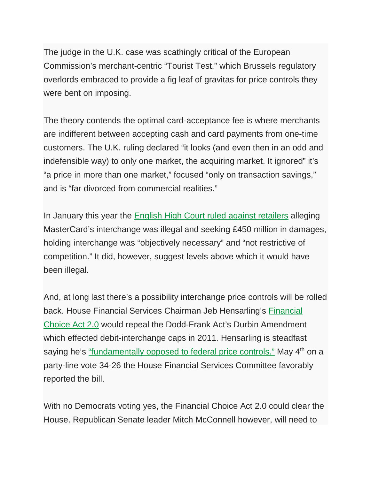The judge in the U.K. case was scathingly critical of the European Commission's merchant-centric "Tourist Test," which Brussels regulatory overlords embraced to provide a fig leaf of gravitas for price controls they were bent on imposing.

The theory contends the optimal card-acceptance fee is where merchants are indifferent between accepting cash and card payments from one-time customers. The U.K. ruling declared "it looks (and even then in an odd and indefensible way) to only one market, the acquiring market. It ignored" it's "a price in more than one market," focused "only on transaction savings," and is "far divorced from commercial realities."

In January this year the [English High Court ruled against retailers](https://www.matrixlaw.co.uk/wp-content/uploads/2017/01/30.01.17.pdf) alleging MasterCard's interchange was illegal and seeking £450 million in damages, holding interchange was "objectively necessary" and "not restrictive of competition." It did, however, suggest levels above which it would have been illegal.

And, at long last there's a possibility interchange price controls will be rolled back. House Financial Services Chairman Jeb Hensarling's [Financial](https://financialservices.house.gov/uploadedfiles/choice_2.0_discussion_draft.pdf)  [Choice Act 2.0](https://financialservices.house.gov/uploadedfiles/choice_2.0_discussion_draft.pdf) would repeal the Dodd-Frank Act's Durbin Amendment which effected debit-interchange caps in 2011. Hensarling is steadfast saying he's ["fundamentally opposed to federal price controls."](https://www.americanbanker.com/news/trump-gop-lawmakers-united-on-dodd-frank-reform?brief=00000159-ad9c-deb8-a3fb-fffd80dc0000) May 4<sup>th</sup> on a party-line vote 34-26 the House Financial Services Committee favorably reported the bill.

With no Democrats voting yes, the Financial Choice Act 2.0 could clear the House. Republican Senate leader Mitch McConnell however, will need to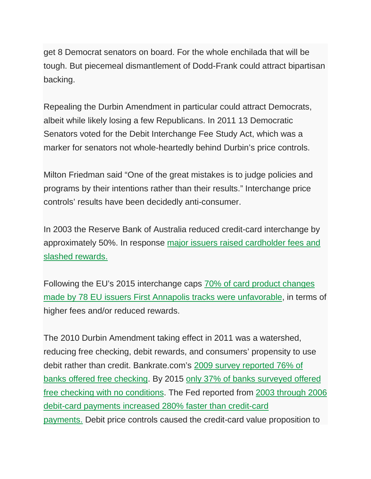get 8 Democrat senators on board. For the whole enchilada that will be tough. But piecemeal dismantlement of Dodd-Frank could attract bipartisan backing.

Repealing the Durbin Amendment in particular could attract Democrats, albeit while likely losing a few Republicans. In 2011 13 Democratic Senators voted for the Debit Interchange Fee Study Act, which was a marker for senators not whole-heartedly behind Durbin's price controls.

Milton Friedman said "One of the great mistakes is to judge policies and programs by their intentions rather than their results." Interchange price controls' results have been decidedly anti-consumer.

In 2003 the Reserve Bank of Australia reduced credit-card interchange by approximately 50%. In response [major issuers raised cardholder fees and](https://www.mastercard.us/content/dam/mccom/en-us/.../cra-report-2008-final.pdf)  [slashed rewards.](https://www.mastercard.us/content/dam/mccom/en-us/.../cra-report-2008-final.pdf)

Following the EU's 2015 interchange caps 70% of [card product changes](http://www.firstannapolis.com/wp-content/uploads/2017/03/March-2017-Navigator_by-First-Annapolis-Consulting_FINAL.pdf)  [made by 78 EU issuers First Annapolis tracks were unfavorable,](http://www.firstannapolis.com/wp-content/uploads/2017/03/March-2017-Navigator_by-First-Annapolis-Consulting_FINAL.pdf) in terms of higher fees and/or reduced rewards.

The 2010 Durbin Amendment taking effect in 2011 was a watershed, reducing free checking, debit rewards, and consumers' propensity to use debit rather than credit. Bankrate.com's [2009 survey reported 76% of](http://www.bankrate.com/banking/checking/smart-banking-free-checking-not-always-free/)  [banks offered free checking.](http://www.bankrate.com/banking/checking/smart-banking-free-checking-not-always-free/) By 2015 [only 37% of banks surveyed offered](http://www.bankrate.com/banking/checking/another-record-setting-year-for-checking-account-fees/#slide=2)  [free checking with no conditions.](http://www.bankrate.com/banking/checking/another-record-setting-year-for-checking-account-fees/#slide=2) The Fed reported from [2003 through 2006](https://frbservices.org/files/communications/pdf/research/2007_payments_study.pdf)  [debit-card payments increased 280% faster than credit-card](https://frbservices.org/files/communications/pdf/research/2007_payments_study.pdf)  [payments.](https://frbservices.org/files/communications/pdf/research/2007_payments_study.pdf) Debit price controls caused the credit-card value proposition to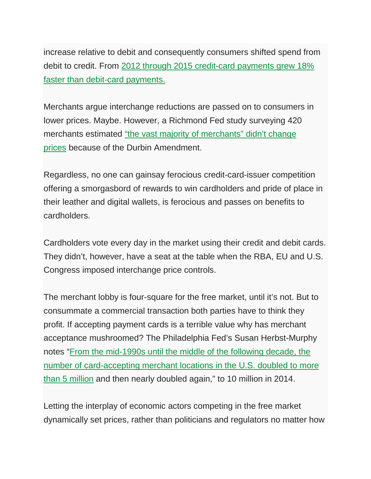increase relative to debit and consequently consumers shifted spend from debit to credit. From [2012 through 2015 credit-card payments grew 18%](https://www.federalreserve.gov/paymentsystems/files/2016-payments-study-20161222.pdf)  [faster than debit-card payments.](https://www.federalreserve.gov/paymentsystems/files/2016-payments-study-20161222.pdf)

Merchants argue interchange reductions are passed on to consumers in lower prices. Maybe. However, a Richmond Fed study surveying 420 merchants estimated ["the vast majority of merchants" didn't change](https://www.richmondfed.org/-/media/richmondfedorg/publications/research/economic_brief/2015/pdf/eb_15-12.pdf)  [prices](https://www.richmondfed.org/-/media/richmondfedorg/publications/research/economic_brief/2015/pdf/eb_15-12.pdf) because of the Durbin Amendment.

Regardless, no one can gainsay ferocious credit-card-issuer competition offering a smorgasbord of rewards to win cardholders and pride of place in their leather and digital wallets, is ferocious and passes on benefits to cardholders.

Cardholders vote every day in the market using their credit and debit cards. They didn't, however, have a seat at the table when the RBA, EU and U.S. Congress imposed interchange price controls.

The merchant lobby is four-square for the free market, until it's not. But to consummate a commercial transaction both parties have to think they profit. If accepting payment cards is a terrible value why has merchant acceptance mushroomed? The Philadelphia Fed's Susan Herbst-Murphy notes ["From the mid-1990s until the middle of the following decade, the](https://www.philadelphiafed.org/-/media/consumer-credit-and-payments/payment-cards-center/publications/discussion-papers/2015/d-2015_trends-and-preferences-in-consumer-payments.pdf?la=en)  [number of card-accepting merchant locations in the U.S. doubled to more](https://www.philadelphiafed.org/-/media/consumer-credit-and-payments/payment-cards-center/publications/discussion-papers/2015/d-2015_trends-and-preferences-in-consumer-payments.pdf?la=en)  [than 5 million](https://www.philadelphiafed.org/-/media/consumer-credit-and-payments/payment-cards-center/publications/discussion-papers/2015/d-2015_trends-and-preferences-in-consumer-payments.pdf?la=en) and then nearly doubled again," to 10 million in 2014.

Letting the interplay of economic actors competing in the free market dynamically set prices, rather than politicians and regulators no matter how